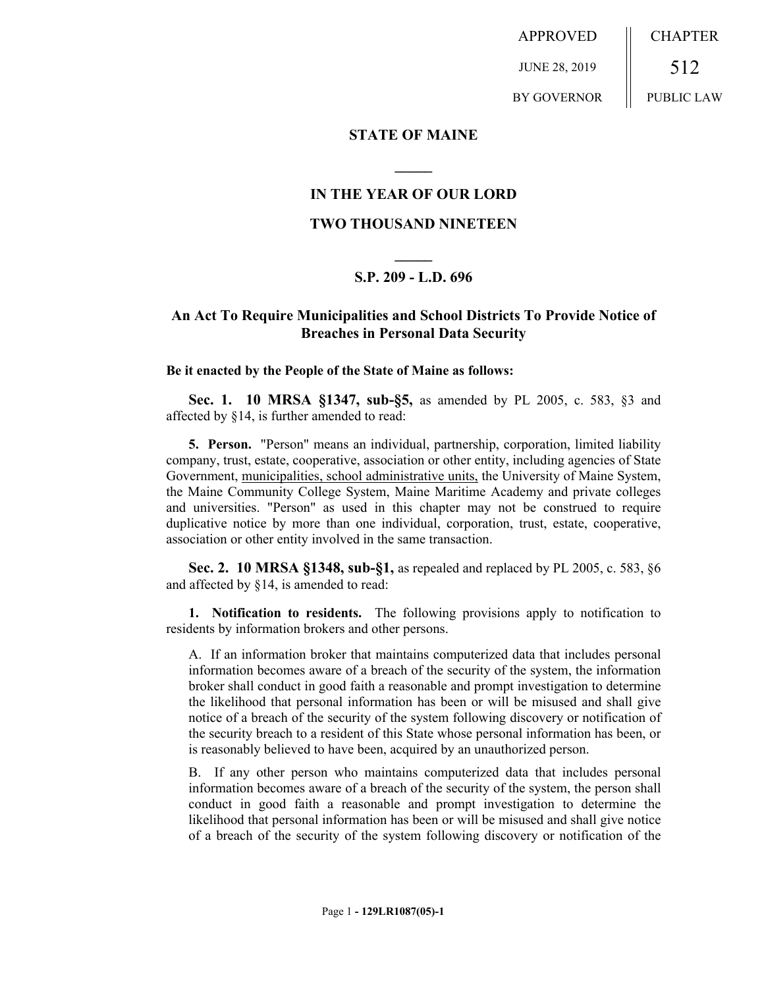APPROVED JUNE 28, 2019 BY GOVERNOR CHAPTER 512 PUBLIC LAW

### **STATE OF MAINE**

### **IN THE YEAR OF OUR LORD**

**\_\_\_\_\_**

### **TWO THOUSAND NINETEEN**

# **\_\_\_\_\_ S.P. 209 - L.D. 696**

## **An Act To Require Municipalities and School Districts To Provide Notice of Breaches in Personal Data Security**

#### **Be it enacted by the People of the State of Maine as follows:**

**Sec. 1. 10 MRSA §1347, sub-§5,** as amended by PL 2005, c. 583, §3 and affected by §14, is further amended to read:

**5. Person.** "Person" means an individual, partnership, corporation, limited liability company, trust, estate, cooperative, association or other entity, including agencies of State Government, municipalities, school administrative units, the University of Maine System, the Maine Community College System, Maine Maritime Academy and private colleges and universities. "Person" as used in this chapter may not be construed to require duplicative notice by more than one individual, corporation, trust, estate, cooperative, association or other entity involved in the same transaction.

**Sec. 2. 10 MRSA §1348, sub-§1,** as repealed and replaced by PL 2005, c. 583, §6 and affected by §14, is amended to read:

**1. Notification to residents.** The following provisions apply to notification to residents by information brokers and other persons.

A. If an information broker that maintains computerized data that includes personal information becomes aware of a breach of the security of the system, the information broker shall conduct in good faith a reasonable and prompt investigation to determine the likelihood that personal information has been or will be misused and shall give notice of a breach of the security of the system following discovery or notification of the security breach to a resident of this State whose personal information has been, or is reasonably believed to have been, acquired by an unauthorized person.

B. If any other person who maintains computerized data that includes personal information becomes aware of a breach of the security of the system, the person shall conduct in good faith a reasonable and prompt investigation to determine the likelihood that personal information has been or will be misused and shall give notice of a breach of the security of the system following discovery or notification of the